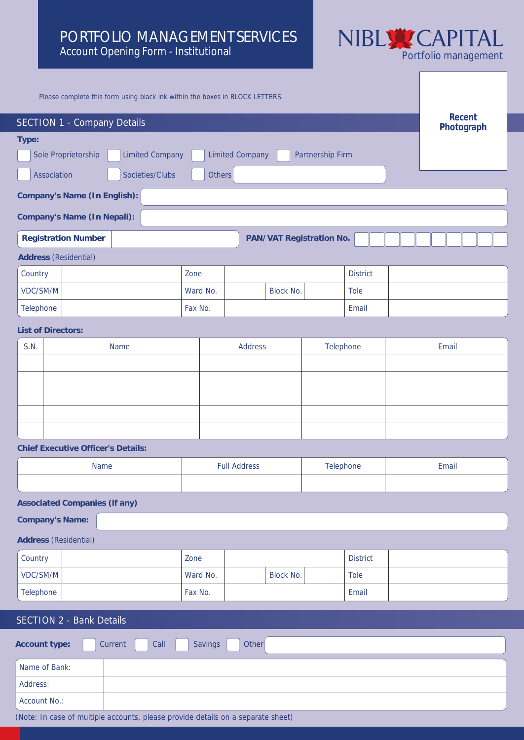## PORTFOLIO MANAGEMENT SERVICES Account Opening Form - Institutional



Please complete this form using black ink within the boxes in BLOCK LETTERS. **SECTION 1** - Company Details **Recent Photograph Address** (Residential) Country Zone District VDC/SM/M Tole No. No. Block No. Tole Telephone Fax No. Fax No. Fax No. Fax No. Fax No. Fax No. Fax No. Fax No. Fax No. Fax No. Fax No. Fax No. Fax No. Fax No. Fax No. Fax No. Fax No. Fax No. Fax No. Fax No. Fax No. Fax No. Fax No. Fax No. Fax No. Fax No. Fax **Type:** Sole Proprietorship | Limited Company | Limited Company | Partnership Firm Association Societies/Clubs Others **Company's Name (In English): Company's Name (In Nepali):** Registration Number **PAN/VAT Registration No. List of Directors:** S.N. Name Name Address Relephone Email **Chief Executive Officer's Details:** Name Full Address Full Address Telephone Funail **Associated Companies (if any) Company's Name: Address** (Residential) Country Zone District VDC/SM/M Tole No. No. Block No. Tole Telephone Fax No. Fax No. Fax No. Fax No. Fax No. Fax No. Fax No. Fax No. Fax No. Fax No. Fax No. Fax No. Fax No. Fax No. Fax No. Fax No. Fax No. Fax No. Fax No. Fax No. Fax No. Fax No. Fax No. Fax No. Fax No. Fax No. Fax SECTION 2 - Bank Details

Account type: **Current Call Savings Other** Name of Bank: Address: Account No.:

(Note: In case of multiple accounts, please provide details on a separate sheet)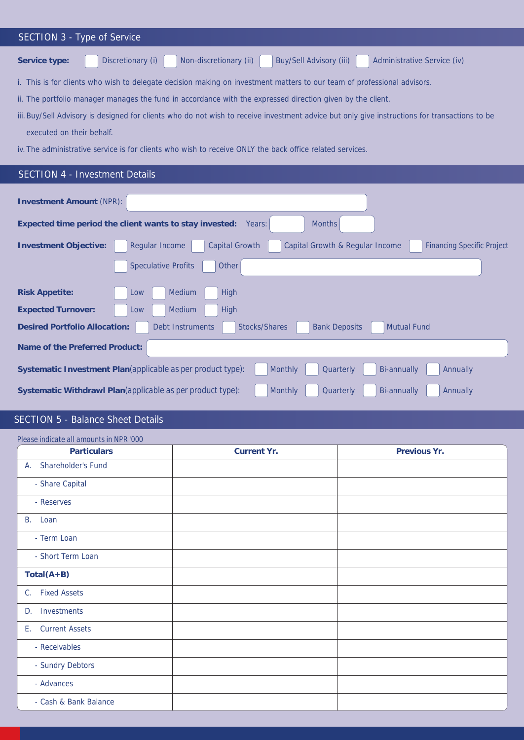| <b>SECTION 3 - Type of Service</b>                                                                                                            |  |  |  |
|-----------------------------------------------------------------------------------------------------------------------------------------------|--|--|--|
| <b>Buy/Sell Advisory (iii)</b><br>Discretionary (i)<br>Non-discretionary (ii)<br><b>Administrative Service (iv)</b><br>Service type:          |  |  |  |
| i. This is for clients who wish to delegate decision making on investment matters to our team of professional advisors.                       |  |  |  |
| ii. The portfolio manager manages the fund in accordance with the expressed direction given by the client.                                    |  |  |  |
| iii. Buy/Sell Advisory is designed for clients who do not wish to receive investment advice but only give instructions for transactions to be |  |  |  |
| executed on their behalf.                                                                                                                     |  |  |  |
| iv. The administrative service is for clients who wish to receive ONLY the back office related services.                                      |  |  |  |
| <b>SECTION 4 - Investment Details</b>                                                                                                         |  |  |  |
| <b>Investment Amount (NPR):</b><br><b>Months</b>                                                                                              |  |  |  |
| Expected time period the client wants to stay invested:<br>Years:                                                                             |  |  |  |

| Investment Amount (NPR):                                                                                                                               |
|--------------------------------------------------------------------------------------------------------------------------------------------------------|
| Expected time period the client wants to stay invested:<br><b>Months</b><br>Years:                                                                     |
| <b>Regular Income</b><br><b>Capital Growth</b><br>Capital Growth & Regular Income<br><b>Investment Objective:</b><br><b>Financing Specific Project</b> |
| <b>Speculative Profits</b><br>Other                                                                                                                    |
| <b>Medium</b><br><b>Risk Appetite:</b><br>High<br>Low                                                                                                  |
| <b>Medium</b><br><b>Expected Turnover:</b><br>High<br>Low                                                                                              |
| Desired Portfolio Allocation:<br><b>Stocks/Shares</b><br><b>Mutual Fund</b><br><b>Debt Instruments</b><br><b>Bank Deposits</b>                         |
| Name of the Preferred Product:                                                                                                                         |
| <b>Monthly</b><br>Systematic Investment Plan (applicable as per product type):<br>Quarterly<br><b>Bi-annually</b><br><b>Annually</b>                   |
| Systematic Withdrawl Plan (applicable as per product type):<br><b>Monthly</b><br>Quarterly<br>Bi-annually<br>Annually                                  |

# SECTION 5 - Balance Sheet Details

| Please indicate all amounts in NPR '000 |             |              |
|-----------------------------------------|-------------|--------------|
| Particulars                             | Current Yr. | Previous Yr. |
| Shareholder's Fund<br>A.                |             |              |
| - Share Capital                         |             |              |
| - Reserves                              |             |              |
| B. Loan                                 |             |              |
| - Term Loan                             |             |              |
| - Short Term Loan                       |             |              |
| $Total(A+B)$                            |             |              |
| C. Fixed Assets                         |             |              |
| Investments<br>D.                       |             |              |
| E. Current Assets                       |             |              |
| - Receivables                           |             |              |
| - Sundry Debtors                        |             |              |
| - Advances                              |             |              |
| - Cash & Bank Balance                   |             |              |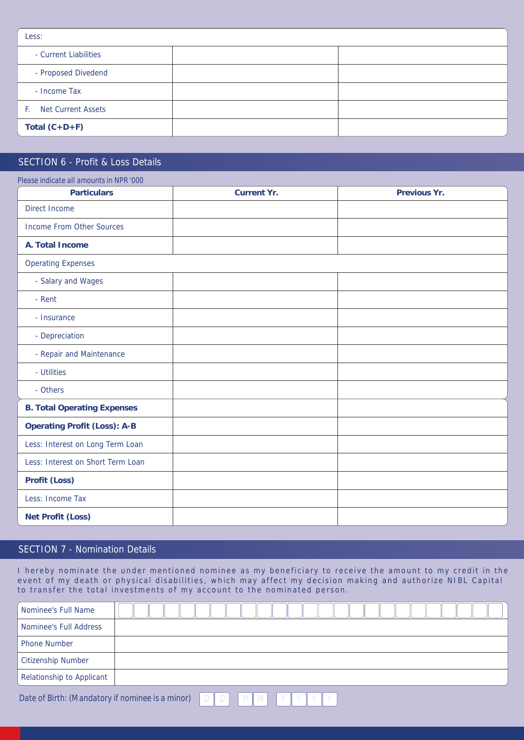| Less:                 |  |
|-----------------------|--|
| - Current Liabilities |  |
| - Proposed Divedend   |  |
| - Income Tax          |  |
| F. Net Current Assets |  |
| Total $(C+D+F)$       |  |

### SECTION 6 - Profit & Loss Details

| <b>Particulars</b>                 | Current Yr. | Previous Yr. |
|------------------------------------|-------------|--------------|
| <b>Direct Income</b>               |             |              |
| <b>Income From Other Sources</b>   |             |              |
| A. Total Income                    |             |              |
| <b>Operating Expenses</b>          |             |              |
| - Salary and Wages                 |             |              |
| - Rent                             |             |              |
| - Insurance                        |             |              |
| - Depreciation                     |             |              |
| - Repair and Maintenance           |             |              |
| - Utilities                        |             |              |
| - Others                           |             |              |
| <b>B.</b> Total Operating Expenses |             |              |
| Operating Profit (Loss): A-B       |             |              |
| Less: Interest on Long Term Loan   |             |              |
| Less: Interest on Short Term Loan  |             |              |
| Profit (Loss)                      |             |              |
| Less: Income Tax                   |             |              |
| Net Profit (Loss)                  |             |              |

## SECTION 7 - Nomination Details

I hereby nominate the under mentioned nominee as my beneficiary to receive the amount to my credit in the event of my death or physical disabilities, which may affect my decision making and authorize NIBL Capital to transfer the total investments of my account to the nominated person.

| Nominee's Full Name       |  |
|---------------------------|--|
| Nominee's Full Address    |  |
| <b>Phone Number</b>       |  |
| <b>Citizenship Number</b> |  |
| Relationship to Applicant |  |
|                           |  |

*Date of Birth: (Mandatory if nominee is a minor)*  $D[D][D][M]$   $M$   $Y[Y][Y]$